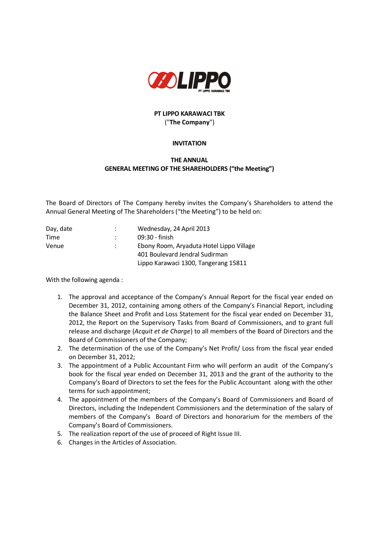

## **PT LIPPO KARAWACI TBK** ("**The Company**")

## **INVITATION**

## **THE ANNUAL GENERAL MEETING OF THE SHAREHOLDERS ("the Meeting")**

The Board of Directors of The Company hereby invites the Company's Shareholders to attend the Annual General Meeting of The Shareholders ("the Meeting") to be held on:

| Day, date |               | Wednesday, 24 April 2013                 |
|-----------|---------------|------------------------------------------|
| Time      |               | 09:30 - finish                           |
| Venue     | $\mathcal{L}$ | Ebony Room, Aryaduta Hotel Lippo Village |
|           |               | 401 Boulevard Jendral Sudirman           |
|           |               | Lippo Karawaci 1300, Tangerang 15811     |

With the following agenda :

- 1. The approval and acceptance of the Company's Annual Report for the fiscal year ended on December 31, 2012, containing among others of the Company's Financial Report, including the Balance Sheet and Profit and Loss Statement for the fiscal year ended on December 31, 2012, the Report on the Supervisory Tasks from Board of Commissioners, and to grant full release and discharge (*Acquit et de Charge*) to all members of the Board of Directors and the Board of Commissioners of the Company;
- 2. The determination of the use of the Company's Net Profit/ Loss from the fiscal year ended on December 31, 2012;
- 3. The appointment of a Public Accountant Firm who will perform an audit of the Company's book for the fiscal year ended on December 31, 2013 and the grant of the authority to the Company's Board of Directors to set the fees for the Public Accountant along with the other terms for such appointment;
- 4. The appointment of the members of the Company's Board of Commissioners and Board of Directors, including the Independent Commissioners and the determination of the salary of members of the Company's Board of Directors and honorarium for the members of the Company's Board of Commissioners.
- 5. The realization report of the use of proceed of Right Issue III.
- 6. Changes in the Articles of Association.